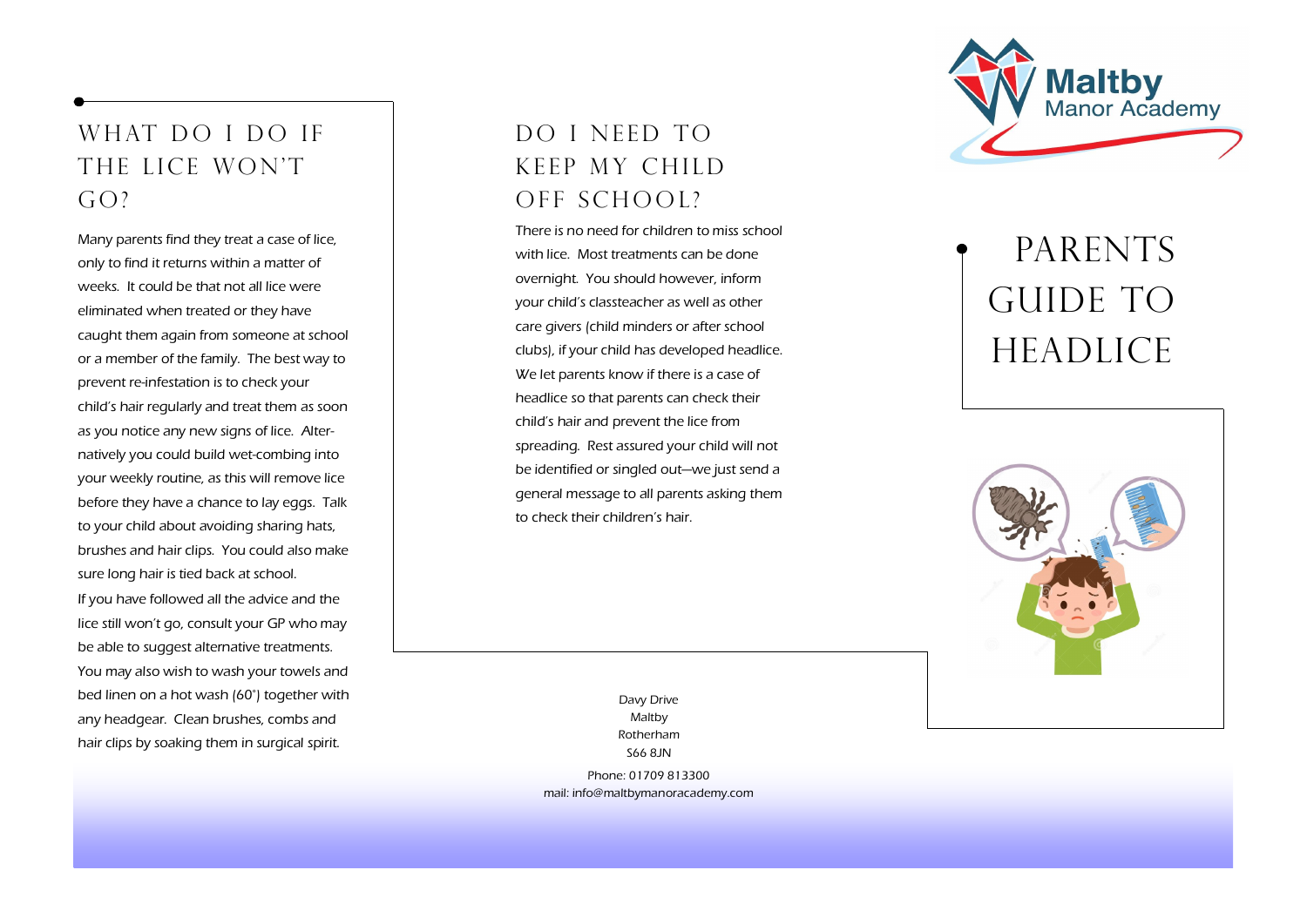### WHAT DO I DO IF THE LICE WON'T  $G()?$

Many parents find they treat a case of lice, only to find it returns within a matter of weeks. It could be that not all lice were eliminated when treated or they have caught them again from someone at school or a member of the family. The best way to prevent re -infestation is to check your child's hair regularly and treat them as soon as you notice any new signs of lice. Alternatively you could build wet-combing into your weekly routine, as this will remove lice before they have a chance to lay eggs. Talk to your child about avoiding sharing hats, brushes and hair clips. You could also make sure long hair is tied back at school. If you have followed all the advice and the lice still won't go, consult your GP who may be able to suggest alternative treatments. You may also wish to wash your towels and bed linen on a hot wash (60°) together with any headgear. Clean brushes, combs and hair clips by soaking them in surgical spirit.

#### DO I NFED TO keep my child off school?

There is no need for children to miss school with lice. Most treatments can be done overnight. You should however, inform your child's classteacher as well as other care givers (child minders or after school clubs), if your child has developed headlice. We let parents know if there is a case of headlice so that parents can check their child's hair and prevent the lice from spreading. Rest assured your child will not be identified or singled out—we just send a general message to all parents asking them to check their children's hair.

> Davy Drive Maltby Rotherham S66 8JN

Phone: 01709 813300 mail: info@maltbymanoracademy.com



# PARENTS GUIDE TO **HEADLICE**